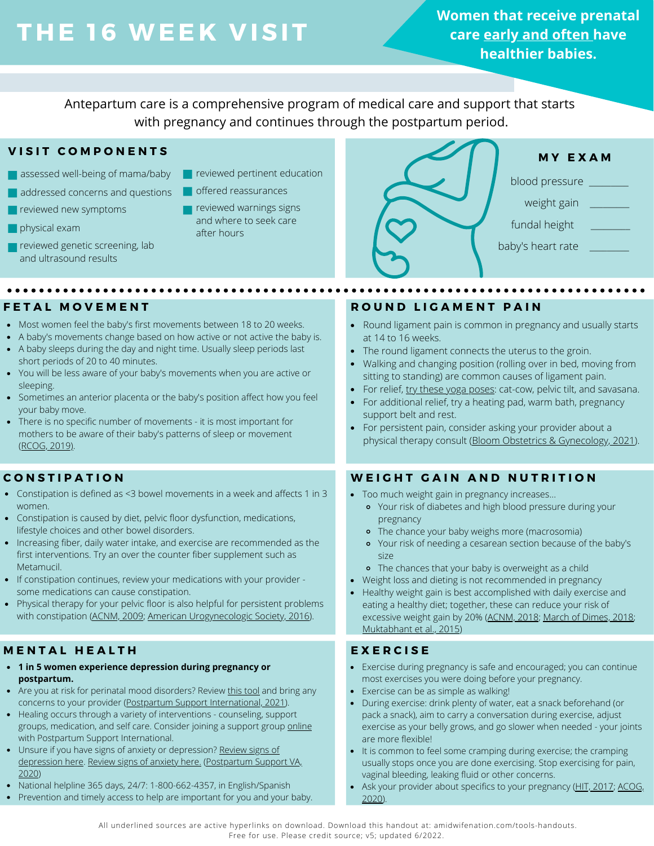# **THE 16 WEE K V ISIT**

**Women that receive prenatal care early and often have healthier babies.**

Antepartum care is a comprehensive program of medical care and support that starts with pregnancy and continues through the postpartum period.

## **V I S I T C O M P O N E N T S**

- assessed well-being of mama/baby
- addressed concerns and questions
- **P** reviewed new symptoms
- **physical exam**
- **reviewed genetic screening, lab** and ultrasound results

- **reviewed pertinent education**
- offered reassurances
	- reviewed warnings signs and where to seek care after hours



- Most women feel the baby's first movements between 18 to 20 weeks.
- A baby's movements change based on how active or not active the baby is. A baby sleeps during the day and night time. Usually sleep periods last
- short periods of 20 to 40 minutes.
- You will be less aware of your baby's movements when you are active or sleeping.
- Sometimes an anterior placenta or the baby's position affect how you feel your baby move.
- There is no specific number of movements it is most important for mothers to be aware of their baby's patterns of sleep or movement ([RCOG, 2019\)](https://www.rcog.org.uk/globalassets/documents/patients/patient-information-leaflets/pregnancy/pi-your-babys-movements-in-pregnancy.pdf).

## **C O N S T I P A T I O N**

- Constipation is defined as <3 bowel movements in a week and affects 1 in 3 women.
- Constipation is caused by diet, pelvic floor dysfunction, medications, lifestyle choices and other bowel disorders.
- Increasing fiber, daily water intake, and exercise are recommended as the first interventions. Try an over the counter fiber supplement such as Metamucil.
- If constipation continues, review your medications with your provider some medications can cause constipation.
- Physical therapy for your pelvic floor is also helpful for persistent problems with constipation [\(ACNM, 2009](http://www.midwife.org/ACNM/files/ccLibraryFiles/Filename/000000000671/Taking%20Good%20Care%20of%20Yourself%20While%20You%20Are%20Pregnant.pdf); [American Urogynecologic Society, 2016\)](https://www.augs.org/assets/2/6/Constipation.pdf).

# **M E N T A L H E A L T H**

- **1 in 5 women experience depression during pregnancy or postpartum.**
- Are you at risk for perinatal mood disorders? [Review this tool](https://www.postpartum.net/wp-content/uploads/2019/05/PSI-Perinatal-Mental-Health-Discusion-Tool.pdf) and bring any concerns to your provider [\(Postpartum Support International, 2021\)](https://www.postpartum.net/wp-content/uploads/2019/05/PSI-Perinatal-Mental-Health-Discusion-Tool.pdf).
- Healing occurs through a variety of interventions counseling, support groups, medication, and self care. Consider joining a support group [online](https://www.postpartum.net/get-help/psi-online-support-meetings/) with Postpartum Support International.
- Unsure if you have signs of anxiety or depression? [Review signs of](https://postpartumva.org/wp-content/uploads/2020/11/PSVA_SignsSymptomsDepression_092320.pdf) [depression here](https://postpartumva.org/wp-content/uploads/2020/11/PSVA_SignsSymptomsDepression_092320.pdf). [Review signs of anxiety here.](https://postpartumva.org/wp-content/uploads/2020/11/PSVA_SignsSymptomsAnxiety_111120.pdf) ([Postpartum Support VA,](https://postpartumva.org/for-providers/) [2020](https://postpartumva.org/for-providers/))
- National helpline 365 days, 24/7: 1-800-662-4357, in English/Spanish
- Prevention and timely access to help are important for you and your baby.

## **F E T A L M O V E M E N T R O U N D L I G A M E N T P A I N**

- Round ligament pain is common in pregnancy and usually starts at 14 to 16 weeks.
- The round ligament connects the uterus to the groin.
- Walking and changing position (rolling over in bed, moving from sitting to standing) are common causes of ligament pain.
- For relief, [try these yoga poses](https://www.bloomobgyn.com/wp-content/uploads/2018/12/bloomobgyn-round-ligament-pain-stretches.pdf): cat-cow, pelvic tilt, and savasana.
- For additional relief, try a heating pad, warm bath, pregnancy support belt and rest.
- For persistent pain, consider asking your provider about a  $\bullet$ physical therapy consult ([Bloom Obstetrics & Gynecology, 2021\)](https://www.bloomobgyn.com/wp-content/uploads/2018/12/bloomobgyn-round-ligament-pain-stretches.pdf).

## **W E I G H T G A I N A N D N U T R I T I O N**

- Too much weight gain in pregnancy increases...
	- Your risk of diabetes and high blood pressure during your pregnancy
	- The chance your baby weighs more (macrosomia)
	- Your risk of needing a cesarean section because of the baby's size
	- The chances that your baby is overweight as a child
- Weight loss and dieting is not recommended in pregnancy
- Healthy weight gain is best accomplished with daily exercise and eating a healthy diet; together, these can reduce your risk of excessive weight gain by 20% ([ACNM, 2018;](https://onlinelibrary.wiley.com/doi/pdf/10.1111/jmwh.12762) [March of Dimes, 2018;](https://www.marchofdimes.org/pregnancy/weight-gain-during-pregnancy.aspx) [Muktabhant et al., 2015\)](https://www.cochranelibrary.com/cdsr/doi/10.1002/14651858.CD007145.pub3/full)

## **E X E R C I S E**

- Exercise during pregnancy is safe and encouraged; you can continue most exercises you were doing before your pregnancy.
- Exercise can be as simple as walking!
- During exercise: drink plenty of water, eat a snack beforehand (or pack a snack), aim to carry a conversation during exercise, adjust exercise as your belly grows, and go slower when needed - your joints are more flexible!
- It is common to feel some cramping during exercise; the cramping usually stops once you are done exercising. Stop exercising for pain, vaginal bleeding, leaking fluid or other concerns.
- Ask your provider about specifics to your pregnancy ([HIT, 2017;](https://www.healthinfotranslations.org/pdfDocs/Exercising_During_Pregnancy_USSp_final.pdf) [ACOG,](https://www.acog.org/clinical/clinical-guidance/committee-opinion/articles/2020/04/physical-activity-and-exercise-during-pregnancy-and-the-postpartum-period) [2020](https://www.acog.org/clinical/clinical-guidance/committee-opinion/articles/2020/04/physical-activity-and-exercise-during-pregnancy-and-the-postpartum-period)).